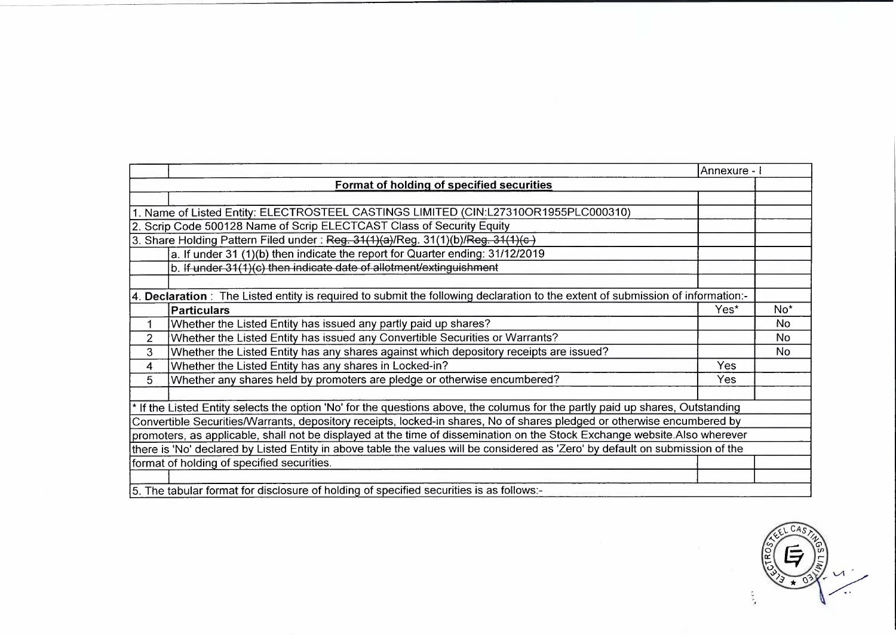|                |                                                                                                                                                                                                                                                                                                                                                                                                                                                                                                                                                                                                                                                                                                                                                                                                                                                                                                                                                                                                                                                                                                                                                                                                                                                                                   | Annexure - I |           |  |  |  |  |
|----------------|-----------------------------------------------------------------------------------------------------------------------------------------------------------------------------------------------------------------------------------------------------------------------------------------------------------------------------------------------------------------------------------------------------------------------------------------------------------------------------------------------------------------------------------------------------------------------------------------------------------------------------------------------------------------------------------------------------------------------------------------------------------------------------------------------------------------------------------------------------------------------------------------------------------------------------------------------------------------------------------------------------------------------------------------------------------------------------------------------------------------------------------------------------------------------------------------------------------------------------------------------------------------------------------|--------------|-----------|--|--|--|--|
|                | Format of holding of specified securities                                                                                                                                                                                                                                                                                                                                                                                                                                                                                                                                                                                                                                                                                                                                                                                                                                                                                                                                                                                                                                                                                                                                                                                                                                         |              |           |  |  |  |  |
|                |                                                                                                                                                                                                                                                                                                                                                                                                                                                                                                                                                                                                                                                                                                                                                                                                                                                                                                                                                                                                                                                                                                                                                                                                                                                                                   |              |           |  |  |  |  |
|                |                                                                                                                                                                                                                                                                                                                                                                                                                                                                                                                                                                                                                                                                                                                                                                                                                                                                                                                                                                                                                                                                                                                                                                                                                                                                                   |              |           |  |  |  |  |
|                |                                                                                                                                                                                                                                                                                                                                                                                                                                                                                                                                                                                                                                                                                                                                                                                                                                                                                                                                                                                                                                                                                                                                                                                                                                                                                   |              |           |  |  |  |  |
|                |                                                                                                                                                                                                                                                                                                                                                                                                                                                                                                                                                                                                                                                                                                                                                                                                                                                                                                                                                                                                                                                                                                                                                                                                                                                                                   |              |           |  |  |  |  |
|                | a. If under 31 (1)(b) then indicate the report for Quarter ending: 31/12/2019                                                                                                                                                                                                                                                                                                                                                                                                                                                                                                                                                                                                                                                                                                                                                                                                                                                                                                                                                                                                                                                                                                                                                                                                     |              |           |  |  |  |  |
|                | b. If under 31(1)(c) then indicate date of allotment/extinguishment                                                                                                                                                                                                                                                                                                                                                                                                                                                                                                                                                                                                                                                                                                                                                                                                                                                                                                                                                                                                                                                                                                                                                                                                               |              |           |  |  |  |  |
|                |                                                                                                                                                                                                                                                                                                                                                                                                                                                                                                                                                                                                                                                                                                                                                                                                                                                                                                                                                                                                                                                                                                                                                                                                                                                                                   |              |           |  |  |  |  |
|                |                                                                                                                                                                                                                                                                                                                                                                                                                                                                                                                                                                                                                                                                                                                                                                                                                                                                                                                                                                                                                                                                                                                                                                                                                                                                                   |              |           |  |  |  |  |
|                | <b>Particulars</b>                                                                                                                                                                                                                                                                                                                                                                                                                                                                                                                                                                                                                                                                                                                                                                                                                                                                                                                                                                                                                                                                                                                                                                                                                                                                | Yes*         | $No*$     |  |  |  |  |
| 1              | Whether the Listed Entity has issued any partly paid up shares?                                                                                                                                                                                                                                                                                                                                                                                                                                                                                                                                                                                                                                                                                                                                                                                                                                                                                                                                                                                                                                                                                                                                                                                                                   |              | <b>No</b> |  |  |  |  |
| $\overline{2}$ |                                                                                                                                                                                                                                                                                                                                                                                                                                                                                                                                                                                                                                                                                                                                                                                                                                                                                                                                                                                                                                                                                                                                                                                                                                                                                   |              | No.       |  |  |  |  |
| 3              | Whether the Listed Entity has any shares against which depository receipts are issued?                                                                                                                                                                                                                                                                                                                                                                                                                                                                                                                                                                                                                                                                                                                                                                                                                                                                                                                                                                                                                                                                                                                                                                                            |              | No        |  |  |  |  |
| $\overline{4}$ |                                                                                                                                                                                                                                                                                                                                                                                                                                                                                                                                                                                                                                                                                                                                                                                                                                                                                                                                                                                                                                                                                                                                                                                                                                                                                   | Yes          |           |  |  |  |  |
| 5              | 1. Name of Listed Entity: ELECTROSTEEL CASTINGS LIMITED (CIN:L27310OR1955PLC000310)<br>2. Scrip Code 500128 Name of Scrip ELECTCAST Class of Security Equity<br>3. Share Holding Pattern Filed under: Reg. 31(1)(a)/Reg. 31(1)(b)/Reg. 31(1)(c)<br>4. Declaration: The Listed entity is required to submit the following declaration to the extent of submission of information:-<br>Whether the Listed Entity has issued any Convertible Securities or Warrants?<br>Whether the Listed Entity has any shares in Locked-in?<br>Whether any shares held by promoters are pledge or otherwise encumbered?<br>Yes<br>If the Listed Entity selects the option 'No' for the questions above, the columus for the partly paid up shares, Outstanding<br>Convertible Securities/Warrants, depository receipts, locked-in shares, No of shares pledged or otherwise encumbered by<br>promoters, as applicable, shall not be displayed at the time of dissemination on the Stock Exchange website.Also wherever<br>there is 'No' declared by Listed Entity in above table the values will be considered as 'Zero' by default on submission of the<br>format of holding of specified securities.<br>5. The tabular format for disclosure of holding of specified securities is as follows:- |              |           |  |  |  |  |
|                |                                                                                                                                                                                                                                                                                                                                                                                                                                                                                                                                                                                                                                                                                                                                                                                                                                                                                                                                                                                                                                                                                                                                                                                                                                                                                   |              |           |  |  |  |  |
|                |                                                                                                                                                                                                                                                                                                                                                                                                                                                                                                                                                                                                                                                                                                                                                                                                                                                                                                                                                                                                                                                                                                                                                                                                                                                                                   |              |           |  |  |  |  |
|                |                                                                                                                                                                                                                                                                                                                                                                                                                                                                                                                                                                                                                                                                                                                                                                                                                                                                                                                                                                                                                                                                                                                                                                                                                                                                                   |              |           |  |  |  |  |
|                |                                                                                                                                                                                                                                                                                                                                                                                                                                                                                                                                                                                                                                                                                                                                                                                                                                                                                                                                                                                                                                                                                                                                                                                                                                                                                   |              |           |  |  |  |  |
|                |                                                                                                                                                                                                                                                                                                                                                                                                                                                                                                                                                                                                                                                                                                                                                                                                                                                                                                                                                                                                                                                                                                                                                                                                                                                                                   |              |           |  |  |  |  |
|                |                                                                                                                                                                                                                                                                                                                                                                                                                                                                                                                                                                                                                                                                                                                                                                                                                                                                                                                                                                                                                                                                                                                                                                                                                                                                                   |              |           |  |  |  |  |
|                |                                                                                                                                                                                                                                                                                                                                                                                                                                                                                                                                                                                                                                                                                                                                                                                                                                                                                                                                                                                                                                                                                                                                                                                                                                                                                   |              |           |  |  |  |  |
|                |                                                                                                                                                                                                                                                                                                                                                                                                                                                                                                                                                                                                                                                                                                                                                                                                                                                                                                                                                                                                                                                                                                                                                                                                                                                                                   |              |           |  |  |  |  |

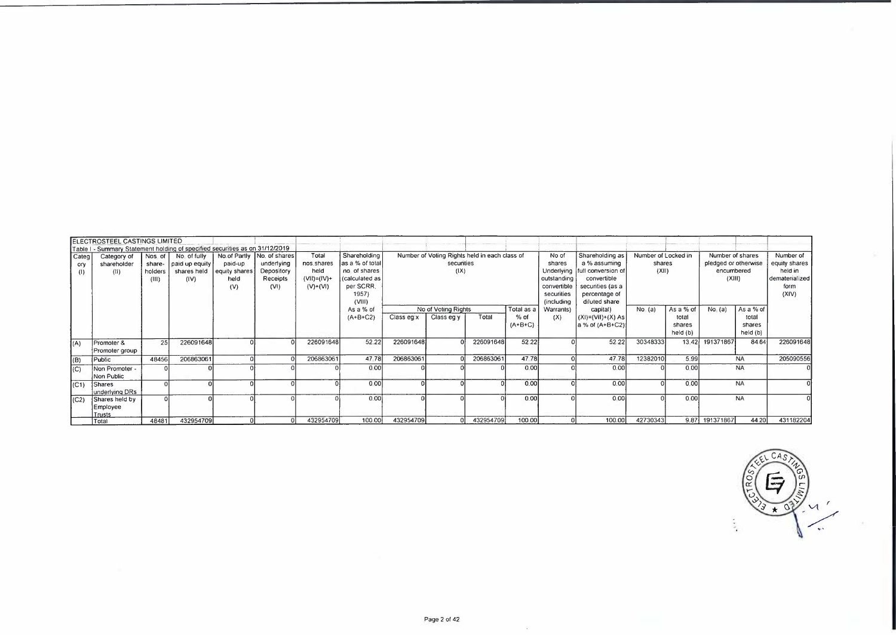| Categ<br>ory<br>(1) | ELECTROSTEEL CASTINGS LIMITED<br>Table I - Summary Statement holding of specified securities as on 31/12/2019<br>Category of<br>shareholder<br>(11) | Nos of<br>holders<br>(III) | No. of fully<br>share- paid up equity<br>shares held<br>(IV) | paid-up<br>equity shares<br>held<br>(V) | No of Partly No. of shares<br>underlying<br>Depository<br>Receipts<br>(VI) | Total<br>nos shares<br>held<br>$(V1) = (IV) +$<br>$(V)$ + $(VI)$ | Shareholding<br>as a % of total<br>no of shares<br>calculated as<br>per SCRR.<br>1957)<br>(VIII) |            | Number of Voting Rights held in each class of<br>secunties<br>(IX) |           |                                   | No of<br>shares<br>outstanding<br>convertible<br>securities<br>(including | Shareholding as<br>a % assuming<br>Underlying full conversion of<br>convertible<br>securities (as a<br>percentage of<br>diluted share | Number of Locked in<br>shares<br>(XII) |                                          | Number of shares<br>pledged or otherwise<br>encumbered<br>(XIII) |                                          | Number of<br>equity shares<br>held in<br>dematerialized<br>form<br>(XIV) |
|---------------------|-----------------------------------------------------------------------------------------------------------------------------------------------------|----------------------------|--------------------------------------------------------------|-----------------------------------------|----------------------------------------------------------------------------|------------------------------------------------------------------|--------------------------------------------------------------------------------------------------|------------|--------------------------------------------------------------------|-----------|-----------------------------------|---------------------------------------------------------------------------|---------------------------------------------------------------------------------------------------------------------------------------|----------------------------------------|------------------------------------------|------------------------------------------------------------------|------------------------------------------|--------------------------------------------------------------------------|
|                     |                                                                                                                                                     |                            |                                                              |                                         |                                                                            |                                                                  | As a % of<br>$(A + B + C2)$                                                                      | Class eg x | No of Voting Rights<br>Class eg y                                  | Total     | Total as a<br>$%$ of<br>$(A+B+C)$ | Warrants)<br>(X)                                                          | capital)<br>$(XI) = (VII)+(X) As$<br>a % of (A+B+C2)                                                                                  | $No$ (a)                               | As a % of<br>total<br>shares<br>held (b) | $No$ (a)                                                         | As a % of<br>total<br>shares<br>held (b) |                                                                          |
| (A)                 | Promoter &<br>Promoter group                                                                                                                        | 25                         | 226091648                                                    |                                         |                                                                            | 226091648                                                        | 52.22                                                                                            | 226091648  |                                                                    | 226091648 | 52 22                             |                                                                           | 52 22                                                                                                                                 | 30348333                               | 13.42                                    | 191371867                                                        | 84 64                                    | 226091648                                                                |
| (B)                 | Public                                                                                                                                              | 48456                      | 206863061                                                    |                                         |                                                                            | 206863061                                                        | 4778                                                                                             | 206863061  |                                                                    | 206863061 | 47 78                             |                                                                           | 47 78                                                                                                                                 | 12382010                               | 5.99                                     |                                                                  | <b>NA</b>                                | 205090556                                                                |
| (C)                 | Non Promoter -<br>Non Public                                                                                                                        |                            |                                                              |                                         |                                                                            |                                                                  | 000                                                                                              |            |                                                                    |           | 0.00                              |                                                                           | 0.00                                                                                                                                  |                                        | 0 <sub>0</sub>                           |                                                                  | <b>NA</b>                                |                                                                          |
| (C1)                | <b>Shares</b><br>underlying DRs                                                                                                                     |                            |                                                              |                                         |                                                                            |                                                                  | 000                                                                                              |            |                                                                    |           | 0.00                              |                                                                           | 0.00                                                                                                                                  |                                        | 0.00                                     |                                                                  | <b>NA</b>                                |                                                                          |
| (C2)                | Shares held by<br>Employee<br>Trusts                                                                                                                |                            |                                                              |                                         |                                                                            |                                                                  | 0.00                                                                                             |            |                                                                    |           | 0.00                              |                                                                           | o ool                                                                                                                                 |                                        | 0.00                                     |                                                                  | <b>NA</b>                                |                                                                          |
|                     | 1 Total                                                                                                                                             | 48481                      | 432954709                                                    |                                         |                                                                            | 432954709                                                        | 100 00                                                                                           | 432954709  |                                                                    | 432954709 | 100 00                            |                                                                           | 100 00                                                                                                                                | 42730343                               |                                          | 9.87 191371867                                                   | 44 20                                    | 431182204                                                                |



 $\sim$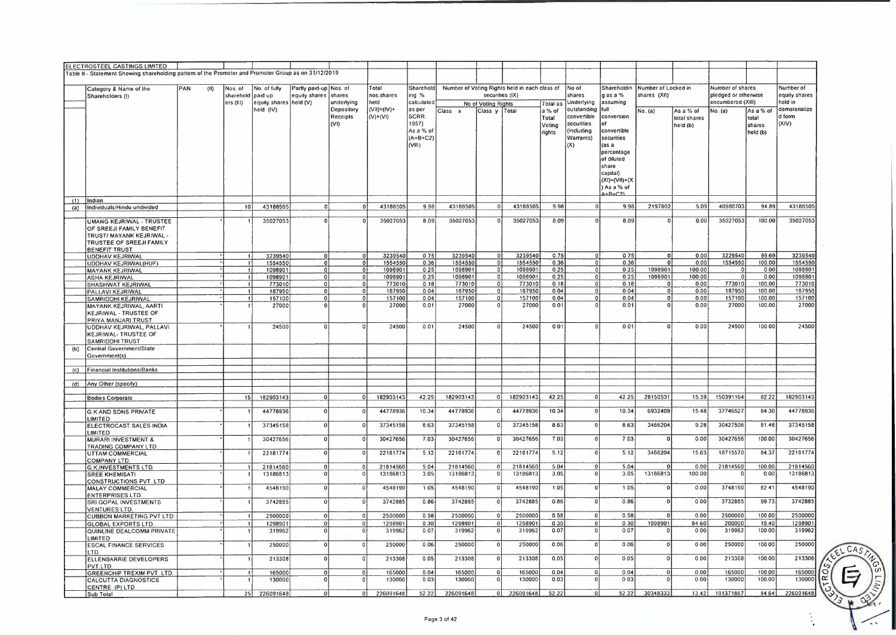|     | ELECTROSTEEL CASTINGS LIMITED<br>Table II - Statement Showing shareholding pattern of the Promoter and Promoter Group as on 31/12/2019 |     |      |                      |                                                            |                                         |                                 |                             |                                                              |                      |                                      |                                                                  |                                                 |                                                                            |                                                                                                                                                                                  |                                     |                                       |                                                               |                                          |                                       |
|-----|----------------------------------------------------------------------------------------------------------------------------------------|-----|------|----------------------|------------------------------------------------------------|-----------------------------------------|---------------------------------|-----------------------------|--------------------------------------------------------------|----------------------|--------------------------------------|------------------------------------------------------------------|-------------------------------------------------|----------------------------------------------------------------------------|----------------------------------------------------------------------------------------------------------------------------------------------------------------------------------|-------------------------------------|---------------------------------------|---------------------------------------------------------------|------------------------------------------|---------------------------------------|
|     |                                                                                                                                        |     |      |                      |                                                            |                                         |                                 |                             |                                                              |                      |                                      |                                                                  |                                                 |                                                                            |                                                                                                                                                                                  |                                     |                                       |                                                               |                                          |                                       |
|     | Category & Name of the<br>Shareholders (I)                                                                                             | PAN | (11) | Nos. of<br>ers (III) | No of fully<br>sharehold paid up<br>equity shares held (V) | Partly paid-up Nos. of<br>equity shares | shares<br>underlying            | Total<br>nos shares<br>held | Sharehold<br>ing %<br>calculated                             |                      |                                      | Number of Voting Rights held in each class of<br>securities (IX) |                                                 | No of<br>shares<br>Underlying                                              | Shareholdin<br>$g$ as a $%$<br>assuming                                                                                                                                          | Number of Locked in<br>shares (XII) |                                       | Number of shares<br>pledged or otherwise<br>encumbered (XIII) |                                          | Number of<br>equity shares<br>held in |
| (1) | Indian                                                                                                                                 |     |      |                      | held (IV)                                                  |                                         | Depository<br>Receipts<br>(VI)  | $(VII)=(IV)*$<br>$(V)+(VI)$ | as per<br>SCRR<br>1957)<br>As a % of<br>$(A+B+C2)$<br>(VIII) | Class x              | No of Voting Rights<br>Class y Total |                                                                  | Total as<br>a % of<br>Total<br>Votina<br>rights | outstanding<br>convertible<br>securities<br>(including<br>Warrants)<br>(X) | full<br>conversion<br>Ωf<br>convertible<br>securities<br>$\sqrt{asa}$<br>percentage<br>of diluted<br>share<br>capital)<br>$(XI) = (VII) + (XI)$<br>) As a % of<br>$4 + B + C$ 21 | No. (a)                             | As a % of<br>total shares<br>held (b) | No $(a)$                                                      | As a % of<br>total<br>shares<br>held (b) | dematenalize<br>d form<br>(XIV)       |
| (a) | Individuals/Hindu undivided                                                                                                            |     |      | 10                   | 43188505                                                   | $\Omega$                                |                                 | 43188505<br>ΩI              | 998                                                          | 43188505             | $\Omega$                             | 43188505                                                         | 9.98                                            |                                                                            | 998                                                                                                                                                                              | 2197802                             | 509                                   | 40980703                                                      | 94.89                                    | 43188505                              |
|     | <b>UMANG KEJRIWAL - TRUSTEE</b><br>OF SREEJI FAMILY BENEFIT<br>TRUST/ MAYANK KEJRIWAL -<br>TRUSTEE OF SREEJI FAMILY<br>BENEFIT TRUST   |     |      |                      | 35027053                                                   |                                         | 0.                              | 35027053                    | 8 0 9                                                        | 35027053             |                                      | 35027053                                                         | 8 0 9                                           |                                                                            | 8 0 9                                                                                                                                                                            | $\Omega$                            | 0.00                                  | 35027053                                                      | 100.00                                   | 35027053                              |
|     | <b>UDDHAV KEJRIWAL</b>                                                                                                                 |     |      |                      | 3239540<br>1554550                                         | $\Omega$                                | $\Omega$                        | 3239540<br>1554550          | 0.75<br>0.36                                                 | 3239540<br>1554550   | 0<br>O.                              | 3239540<br>1554550                                               | 075<br>0 36                                     | $\mathbf{0}$<br>$\lceil 0 \rceil$                                          | 075<br>0.36                                                                                                                                                                      | $\mathbf 0$<br>$\Omega$             | 0.00<br>0.00                          | 3229540<br>1554550                                            | 99.69<br>100 00                          | 3239540<br>1554550                    |
|     | UDDHAV KEJRIWAL(HUF)<br><b>MAYANK KEJRIWAL</b>                                                                                         |     |      |                      | 1098901                                                    |                                         | ΩI<br>$\Omega$                  | 1098901                     | 0 <sub>25</sub>                                              | 1098901              | $\Omega$                             | 1098901                                                          | 025                                             | $\Omega$                                                                   | 0 25                                                                                                                                                                             | 1098901                             | 100 00                                | $\Omega$                                                      | 000                                      | 109890                                |
|     | <b>ASHA KEJRIWAL</b>                                                                                                                   |     |      |                      | 1098901                                                    |                                         | $\Omega$<br>$\Omega$            | 1098901                     | 025                                                          | 1098901              |                                      | 1098901<br>o١                                                    | 0.25                                            |                                                                            | 025                                                                                                                                                                              | 1098901                             | 100 00                                | -0                                                            | 000                                      | 109890                                |
|     | SHASHWAT KEJRIWAL                                                                                                                      |     |      |                      | 773010                                                     |                                         | $\Omega$<br>$\Omega$            | 773010                      | 0, 18                                                        | 773010               | ΩI                                   | 773010                                                           | 018                                             |                                                                            | 0.18                                                                                                                                                                             |                                     | 0.00                                  | 773010                                                        | 100.00                                   | 773010                                |
|     | PALLAVI KEJRIWAL                                                                                                                       |     |      |                      | 187950<br>157100                                           | $\Omega$                                | $\circ$<br>$\Omega$<br>$\Omega$ | 187950<br>157100            | 004<br>0041                                                  | 187950<br>157100     | $\mathbf{0}$                         | ٥l<br>187950<br>157100                                           | 0 0 4<br>004                                    |                                                                            | 004<br>0.04                                                                                                                                                                      | $\Omega$                            | 0.00<br>0.00                          | 187950<br>157100                                              | 100.00<br>100 00                         | 187950<br>157100                      |
|     | <b>SAMRIDDHI KEJRIWAL</b><br>MAYANK KEJRIWAL, AARTI<br><b>KEJRIWAL - TRUSTEE OF</b>                                                    |     |      |                      | 27000                                                      |                                         | $\Omega$                        | 27000                       | 0.01                                                         | 27000                | $\Omega$                             | 27000                                                            | 001                                             |                                                                            | 0.01                                                                                                                                                                             | $\Omega$                            | 0.00                                  | 27000                                                         | 100.00                                   | 27000                                 |
|     | PRIYA MANJARI TRUST<br>UDDHAV KEJRIWAL, PALLAVI<br><b>KEJRIWAL- TRUSTEE OF</b>                                                         |     |      |                      | 24500                                                      | 0                                       |                                 | 24500                       | 0.01                                                         | 24500                |                                      | 24500                                                            | 001                                             |                                                                            | 001                                                                                                                                                                              | $\Omega$                            | 0.00                                  | 24500                                                         | 100 00                                   | 24500                                 |
| (b) | SAMRIDDHI TRUST<br>Central Government/State<br>Government(s)                                                                           |     |      |                      |                                                            |                                         |                                 |                             |                                                              |                      |                                      |                                                                  |                                                 |                                                                            |                                                                                                                                                                                  |                                     |                                       |                                                               |                                          |                                       |
| (C) | Financial Institutions/Banks                                                                                                           |     |      |                      |                                                            |                                         |                                 |                             |                                                              |                      |                                      |                                                                  |                                                 |                                                                            |                                                                                                                                                                                  |                                     |                                       |                                                               |                                          |                                       |
|     | (d) Any Other (specify)                                                                                                                |     |      |                      |                                                            |                                         |                                 |                             |                                                              |                      |                                      |                                                                  |                                                 |                                                                            |                                                                                                                                                                                  |                                     |                                       |                                                               |                                          |                                       |
|     |                                                                                                                                        |     |      |                      |                                                            |                                         |                                 |                             |                                                              |                      |                                      |                                                                  |                                                 |                                                                            |                                                                                                                                                                                  |                                     |                                       |                                                               |                                          |                                       |
|     | <b>Bodies Corporate</b>                                                                                                                |     |      | 15                   | 182903143                                                  |                                         |                                 | 182903143                   | 42.25                                                        | 182903143            | ΩI                                   | 182903143                                                        | 42 25                                           | $\Omega$                                                                   | 42 25                                                                                                                                                                            | 28150531                            | 15 39                                 | 150391164                                                     | 82 22                                    | 182903143                             |
|     | <b>G K AND SONS PRIVATE</b>                                                                                                            |     |      |                      | 44778936                                                   |                                         |                                 | 44778936                    | 10 34                                                        | 44778936             | o                                    | 44778936                                                         | 10 34                                           | $\Omega$                                                                   | 10.34                                                                                                                                                                            | 6932409                             | 15.48                                 | 37746527                                                      | 84 30                                    | 44778936                              |
|     | <b>LIMITED</b><br>ELECTROCAST SALES INDIA<br>LIMITED                                                                                   |     |      |                      | 37345158                                                   |                                         |                                 | 37345158                    | 863                                                          | 37345158             |                                      | 37345158                                                         | 863                                             | $\Omega$                                                                   | 863                                                                                                                                                                              | 3466204                             | 9 2 8                                 | 30427506                                                      | 81.48                                    | 37345158                              |
|     | <b>MURARI INVESTMENT &amp;</b><br>TRADING COMPANY LTD                                                                                  |     |      |                      | 30427656                                                   |                                         |                                 | 30427656                    | 703                                                          | 30427656             |                                      | 30427656                                                         | 703                                             | $\overline{0}$                                                             | 703                                                                                                                                                                              | $\Omega$                            | 000                                   | 30427656                                                      | 100 00                                   | 30427656                              |
|     | UTTAM COMMERCIAL<br>COMPANY LTD                                                                                                        |     |      |                      | 22181774                                                   |                                         |                                 | 22181774                    | 5 1 2                                                        | 22181774             |                                      | 22181774                                                         | 5.12                                            | $\Omega$                                                                   | 5.12                                                                                                                                                                             | 3466204                             | 15.63                                 | 18715570                                                      | 84.37                                    | 22181774                              |
|     | <b>G K.INVESTMENTS LTD</b><br><b>SREE KHEMISATI</b><br>CONSTRUCTIONS PVT LTD                                                           |     |      |                      | 21814560<br>13186813                                       |                                         |                                 | 21814560<br>13186813        | 5 0 4<br>305                                                 | 21814560<br>13186813 | $\Omega$                             | 21814560<br>13186813                                             | 504<br>3.05                                     | $\Omega$<br>$\mathbf 0$                                                    | 5 0 4<br>3.05                                                                                                                                                                    | 13186813                            | 0.00<br>100 00                        | 21814560                                                      | 100.00<br>0.00                           | 21814560<br>13186813                  |
|     | MALAY COMMERCIAL<br><b>ENTERPRISES LTD.</b>                                                                                            |     |      |                      | 4548190                                                    |                                         |                                 | 4548190                     | 105                                                          | 4548190              |                                      | 4548190                                                          | 1 0 5                                           | $\Omega$                                                                   | 105                                                                                                                                                                              | $\Omega$                            | 000                                   | 3748190                                                       | 82 41                                    | 4548190                               |
|     | SRI GOPAL INVESTMENTS<br><b>VENTURES LTD</b>                                                                                           |     |      |                      | 3742885                                                    |                                         |                                 | 3742885                     | 086                                                          | 3742885              |                                      | 3742885                                                          | 086                                             | $\mathbf 0$                                                                | 0.86                                                                                                                                                                             |                                     | 000                                   | 3732885                                                       | 9973                                     | 3742885                               |
|     | <b>CUBBON MARKETING PVT LTD</b>                                                                                                        |     |      |                      | 2500000                                                    |                                         |                                 | 2500000                     | 0 58                                                         | 2500000              |                                      | 2500000                                                          | 0.58                                            | $\overline{0}$                                                             | 0.58                                                                                                                                                                             | $\mathbf{0}$                        | 000                                   | 2500000                                                       | 100 00                                   | 2500000                               |
|     | <b>GLOBAL EXPORTS LTD</b><br>QUINLINE DEALCOMM PRIVATE<br>LIMITED                                                                      |     |      |                      | 1298901<br>319962                                          |                                         |                                 | 1298901<br>319962           | 030<br>007                                                   | 1298901<br>319962    |                                      | 1298901<br>319962                                                | 030<br>007                                      | $\mathbf 0$<br>$\Omega$                                                    | 0.30<br>007                                                                                                                                                                      | 1098901                             | 84 60<br>000                          | 200000<br>319962                                              | 15 40<br>100 00                          | 1298901<br>319962                     |
|     | <b>ESCAL FINANCE SERVICES</b><br>LTD.                                                                                                  |     |      |                      | 250000                                                     |                                         |                                 | 250000                      | 0 0 6                                                        | 250000               |                                      | 250000                                                           | 0.06                                            | $\Omega$                                                                   | 006                                                                                                                                                                              | ol                                  | 000                                   | 250000                                                        | 100 00                                   | 250000                                |
|     | ELLENBARRIE DEVELOPERS<br>PVT.LTD                                                                                                      |     |      |                      | 213308                                                     |                                         |                                 | 213308                      | 005                                                          | 213308               |                                      | 213308                                                           | 0.05                                            | $\Omega$                                                                   | 005                                                                                                                                                                              | 0                                   | 000                                   | 213308                                                        | 100.00                                   | 213308                                |
|     | <b>GREENCHIP TREXIM PVT LTD.</b><br><b>CALCUTTA DIAGNOSTICS</b>                                                                        |     |      |                      | 165000<br>130000                                           |                                         |                                 | 165000<br>130000            | 004<br>003                                                   | 165000<br>130000     |                                      | 165000<br>130000                                                 | 0.04<br>0.03                                    | $\Omega$<br>$\Omega$                                                       | 0.04<br>0 0 3                                                                                                                                                                    | $\mathbf 0$<br>$\Omega$             | 0.00<br>000                           | 165000<br>130000                                              | 100 00<br>100.00                         | 165000<br>130000                      |
|     | CENTRE (P) LTD                                                                                                                         |     |      |                      |                                                            |                                         |                                 |                             |                                                              |                      |                                      |                                                                  |                                                 |                                                                            |                                                                                                                                                                                  |                                     |                                       |                                                               |                                          |                                       |
|     | Sub Total                                                                                                                              |     |      | 25                   | 226091648                                                  |                                         |                                 | 226091648<br>$^{\circ}$     | 5222                                                         | 226091648            |                                      | 226091648<br>οI                                                  | 52.22                                           |                                                                            | 5222                                                                                                                                                                             | 30348333                            | 13.42                                 | 191371867                                                     | 84 64                                    | 226091648                             |



 $\frac{1}{\sqrt{2}}$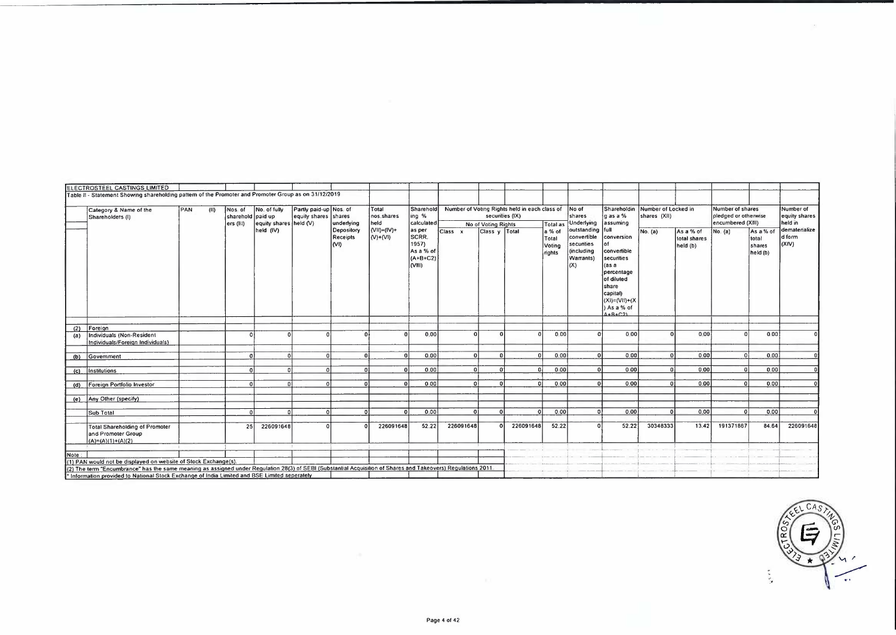|      | ELECTROSTEEL CASTINGS LIMITED                                                                                                                                  |     |      |                                          |                                        |                                                |                                       |                                               |                                                             |           |                     |                                                                       |                                     |                                                                         |                                                                                                                                                       |                                                 |                                       |                                                               |                                          |                                       |
|------|----------------------------------------------------------------------------------------------------------------------------------------------------------------|-----|------|------------------------------------------|----------------------------------------|------------------------------------------------|---------------------------------------|-----------------------------------------------|-------------------------------------------------------------|-----------|---------------------|-----------------------------------------------------------------------|-------------------------------------|-------------------------------------------------------------------------|-------------------------------------------------------------------------------------------------------------------------------------------------------|-------------------------------------------------|---------------------------------------|---------------------------------------------------------------|------------------------------------------|---------------------------------------|
|      | Table II - Statement Showing shareholding pattern of the Promoter and Promoter Group as on 31/12/2019                                                          |     |      |                                          |                                        |                                                |                                       |                                               |                                                             |           |                     |                                                                       |                                     |                                                                         |                                                                                                                                                       |                                                 |                                       |                                                               |                                          |                                       |
|      | Category & Name of the<br>Shareholders (I)                                                                                                                     | PAN | (11) | Nos of<br>sharehold paid up<br>ers (III) | No. of fully<br>equity shares held (V) | Partly paid-up Nos. of<br>equity shares shares | underlying                            | Total<br>nos shares<br>held                   | Sharehold<br>ing %<br>calculated                            |           | No of Voting Rights | Number of Voting Rights held in each class of No of<br>secunties (IX) | <b>Total as</b>                     | İshares<br>Underlying                                                   | gas a %<br>assuming                                                                                                                                   | Shareholdin Number of Locked in<br>shares (XII) |                                       | Number of shares<br>pledged or otherwise<br>encumbered (XIII) |                                          | Number of<br>equity shares<br>held in |
|      |                                                                                                                                                                |     |      |                                          | held (IV)                              |                                                | Depository<br>Receipts<br>$ N\rangle$ | $(VII) = (IV) +$<br>$ V\rangle$ + $ V\rangle$ | as per<br>SCRR.<br>1957)<br>As a % of<br>$(A+B+C2)$<br>VIII | Class x   | Class $y$ Total     |                                                                       | a % of<br>Total<br>Voting<br>rights | outstanding full<br>convertible<br>secunties<br>(including<br>Warrants) | conversion<br>convertible<br>securities<br>'as a<br>percentage<br>of diluted<br>share<br>capital)<br>$(XI) = (VII) + (X$<br>) As a % of<br>$A+R+C.21$ | No. (a)                                         | As a % of<br>total shares<br>held (b) | No. (a)                                                       | As a % of<br>total<br>shares<br>held (b) | dematenalize<br>d form<br>(XIV)       |
| (2)  | Foreign                                                                                                                                                        |     |      |                                          |                                        |                                                |                                       |                                               |                                                             |           |                     |                                                                       |                                     |                                                                         |                                                                                                                                                       |                                                 |                                       |                                                               |                                          |                                       |
| (a)  | Individuals (Non-Resident<br>Individuals/Foreign Individuals)                                                                                                  |     |      |                                          |                                        |                                                |                                       |                                               | 0.00                                                        |           |                     |                                                                       | 0.00                                |                                                                         | 0.00                                                                                                                                                  |                                                 | 0.00                                  |                                                               | 000                                      |                                       |
| (b)  | Government                                                                                                                                                     |     |      |                                          | ß                                      |                                                |                                       |                                               | 0.00                                                        |           |                     |                                                                       | 0.00                                |                                                                         | 0.00                                                                                                                                                  |                                                 | 0.00                                  |                                                               | 0.00                                     | n                                     |
| (c)  | Institutions                                                                                                                                                   |     |      |                                          | $\Omega$                               | $\Omega$                                       |                                       | n۱                                            | 0.00                                                        |           |                     | o.                                                                    | 0.00                                |                                                                         | 0.00                                                                                                                                                  |                                                 | 0.00                                  |                                                               | 0.00                                     | $\Omega$                              |
| (d)  | Foreign Portfolio Investor                                                                                                                                     |     |      |                                          | $\Omega$                               | $\Omega$                                       |                                       |                                               | 0.00                                                        |           | n                   | ΩĹ                                                                    | 0.00                                |                                                                         | 0.00                                                                                                                                                  | ΩÌ                                              | 0.00                                  |                                                               | 0.00                                     | $\Omega$                              |
| (e)  | Any Other (specify)                                                                                                                                            |     |      |                                          |                                        |                                                |                                       |                                               |                                                             |           |                     |                                                                       |                                     |                                                                         |                                                                                                                                                       |                                                 |                                       |                                                               |                                          |                                       |
|      | Sub Total                                                                                                                                                      |     |      |                                          |                                        |                                                |                                       |                                               | 0.00                                                        |           |                     |                                                                       | 0.00                                |                                                                         | 0.00                                                                                                                                                  |                                                 | 0.00                                  |                                                               | 0.00                                     | $\Omega$                              |
|      | <b>Total Shareholding of Promoter</b><br>and Promoter Group<br>$(A)=(A)(1)+(A)(2)$                                                                             |     |      | 25                                       | 226091648                              |                                                |                                       | 226091648                                     | 52.22                                                       | 226091648 |                     | 226091648                                                             | 52.22                               |                                                                         | 52.22                                                                                                                                                 | 30348333                                        | 13.42                                 | 191371867                                                     | 84.64                                    | 226091648                             |
| Note |                                                                                                                                                                |     |      |                                          |                                        |                                                |                                       |                                               |                                                             |           |                     |                                                                       |                                     |                                                                         |                                                                                                                                                       |                                                 |                                       |                                                               |                                          |                                       |
|      | (1) PAN would not be displayed on website of Stock Exchange(s).                                                                                                |     |      |                                          |                                        |                                                |                                       |                                               |                                                             |           |                     |                                                                       |                                     |                                                                         |                                                                                                                                                       |                                                 |                                       |                                                               |                                          |                                       |
|      | (2) The term "Encumbrance" has the same meaning as assigned under Regulation 28(3) of SEBI (Substantial Acquisition of Shares and Takeovers) Regulations 2011. |     |      |                                          |                                        |                                                |                                       |                                               |                                                             |           |                     |                                                                       |                                     |                                                                         |                                                                                                                                                       |                                                 |                                       |                                                               |                                          |                                       |
|      |                                                                                                                                                                |     |      |                                          |                                        |                                                |                                       |                                               |                                                             |           |                     |                                                                       |                                     |                                                                         |                                                                                                                                                       |                                                 |                                       |                                                               |                                          |                                       |

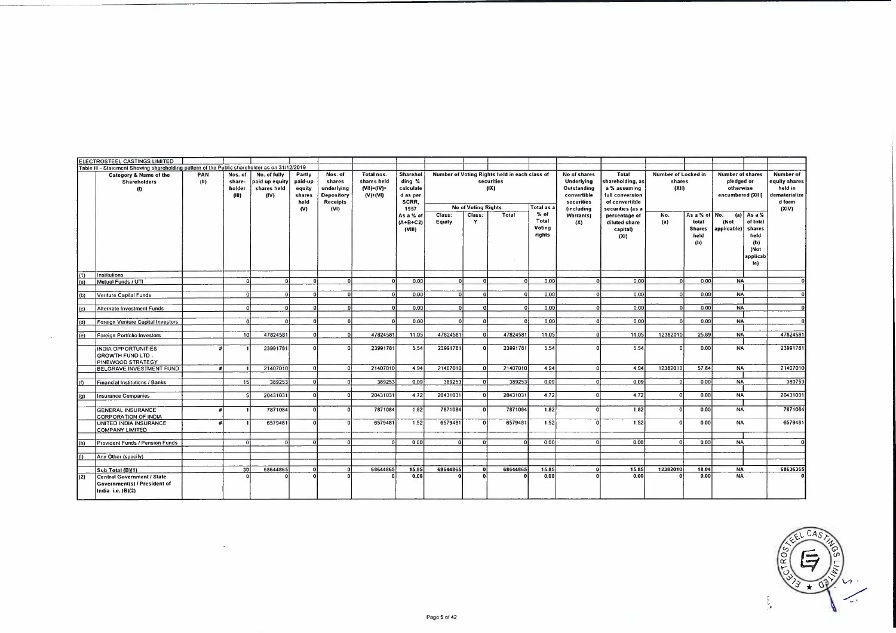|                  | ELECTROSTEEL CASTINGS LIMITED                                                                       |             |                                      |                                                       |                                                      |                                                                                 |                                                              |                                                                                                   |                  |                                           |                                                                              |                                                   |                                                                                                                               |                                                                                                                                                          |                                                      |                                                        |                                                                                                       |                                               |                                                                                  |
|------------------|-----------------------------------------------------------------------------------------------------|-------------|--------------------------------------|-------------------------------------------------------|------------------------------------------------------|---------------------------------------------------------------------------------|--------------------------------------------------------------|---------------------------------------------------------------------------------------------------|------------------|-------------------------------------------|------------------------------------------------------------------------------|---------------------------------------------------|-------------------------------------------------------------------------------------------------------------------------------|----------------------------------------------------------------------------------------------------------------------------------------------------------|------------------------------------------------------|--------------------------------------------------------|-------------------------------------------------------------------------------------------------------|-----------------------------------------------|----------------------------------------------------------------------------------|
|                  | Table III - Statement Showing shareholding pattern of the Public shareholder as on 31/12/2019       |             |                                      |                                                       |                                                      |                                                                                 |                                                              |                                                                                                   |                  |                                           |                                                                              |                                                   |                                                                                                                               |                                                                                                                                                          |                                                      |                                                        |                                                                                                       |                                               |                                                                                  |
|                  | <b>Category &amp; Name of the</b><br><b>Shareholders</b><br>(1)                                     | PAN<br>(11) | Nos. of<br>share-<br>holder<br>(III) | No. of fully<br>paid up equity<br>shares held<br>(IV) | Partly<br>paid-up<br>equity<br>shares<br>held<br>(V) | Nos. of<br>shares<br>underlying<br><b>Depository</b><br><b>Receipts</b><br>(VI) | Total nos.<br>shares held<br>$(VII) = (IV) +$<br>$(V) + (V)$ | Sharehol<br>ding %<br>calculate<br>d as per<br>SCRR.<br>1957<br>As a % of<br>$(A+B+C2)$<br>(VIII) | Class:<br>Equity | <b>No of Voting Rights</b><br>Class:<br>Y | Number of Voting Rights held in each class of<br>securities<br>(IX)<br>Total | Total as a<br>$%$ of<br>Total<br>Voting<br>rights | No of shares<br><b>Underlying</b><br>Outstanding<br>convertible<br>securities<br><i><b>(including</b></i><br>Warrants)<br>(X) | Total<br>shareholding, as<br>a % assuming<br>full conversion<br>of convertible<br>securities (as a<br>percentage of<br>diluted share<br>capital)<br>(XI) | Number of Locked in<br>shares<br>(XII)<br>No.<br>(a) | As a % of No.<br>total<br><b>Shares</b><br>held<br>(b) | <b>Number of shares</b><br>pledged or<br>otherwise<br>encumbered (XIII)<br>(Not<br>applicable) shares | (a) $Asa%$<br>of total<br>held<br>(b)<br>(Not | <b>Number of</b><br>equity shares<br>held in<br>dematerialize<br>d form<br>(XIV) |
| (1)<br>(a)       | Institutions<br>Mutual Funds / UTI                                                                  |             | n.                                   |                                                       | $\mathbf{a}$                                         | $\Omega$                                                                        |                                                              | 0.00                                                                                              |                  |                                           | οl                                                                           | 0.00                                              |                                                                                                                               | 0.00                                                                                                                                                     | $\Omega$                                             | 0.00                                                   | <b>NA</b>                                                                                             | applicab<br>le)                               | $\Omega$                                                                         |
| (b)              | Venture Capital Funds                                                                               |             | n                                    |                                                       | $\sqrt{2}$                                           | n                                                                               | $\Omega$                                                     | 0.00                                                                                              | $\Omega$         |                                           | οl                                                                           | 000                                               | Ωł                                                                                                                            | 0.00                                                                                                                                                     | ΩI                                                   | 0.00                                                   | <b>NA</b>                                                                                             |                                               | $\Omega$                                                                         |
|                  |                                                                                                     |             |                                      |                                                       |                                                      |                                                                                 |                                                              |                                                                                                   |                  |                                           |                                                                              |                                                   |                                                                                                                               |                                                                                                                                                          |                                                      |                                                        |                                                                                                       |                                               |                                                                                  |
| (c)              | Alternate investment Funds                                                                          |             | $\Omega$                             |                                                       |                                                      |                                                                                 | $\mathbf{r}$                                                 | 0.00                                                                                              | $\Omega$         |                                           | οI                                                                           | 0.00                                              | $\Omega$                                                                                                                      | 0.00                                                                                                                                                     | n                                                    | 0.00                                                   | <b>NA</b>                                                                                             |                                               | $\Omega$                                                                         |
| $\overline{d}$   | Foreign Venture Capital Investors                                                                   |             | $\Omega$                             | $\Omega$                                              | $\Omega$                                             |                                                                                 | $\Omega$                                                     | 0.00                                                                                              | $\Omega$         | ΩI                                        | 01                                                                           | 000                                               | $\Omega$                                                                                                                      | 000                                                                                                                                                      | $\Omega$                                             | 0.00                                                   | <b>NA</b>                                                                                             |                                               | $\mathbf{0}$                                                                     |
| $\overline{(e)}$ | Foreign Portfolio Investors                                                                         |             | $\overline{10}$                      | 47824581                                              | $\Omega$                                             |                                                                                 | 47824581                                                     | 11.05                                                                                             | 47824581         | 01                                        | 47824581                                                                     | 1105                                              | n                                                                                                                             | 11.05                                                                                                                                                    | 12382010                                             | 25.89                                                  | <b>NA</b>                                                                                             |                                               | 47824581                                                                         |
|                  | INDIA OPPORTUNITIES<br><b>GROWTH FUND LTD -</b><br><b>PINEWOOD STRATEGY</b>                         |             |                                      | 23991781                                              |                                                      |                                                                                 | 23991781                                                     | 5 5 4                                                                                             | 23991781         |                                           | 23991781                                                                     | 5.54                                              |                                                                                                                               | 5.54                                                                                                                                                     | n                                                    | 0.00                                                   | <b>NA</b>                                                                                             |                                               | 23991781                                                                         |
|                  | <b>BELGRAVE INVESTMENT FUND</b>                                                                     |             |                                      | 21407010                                              | ol                                                   |                                                                                 | 21407010                                                     | 4.94                                                                                              | 21407010         |                                           | 21407010                                                                     | 4.94                                              |                                                                                                                               | 4.94                                                                                                                                                     | 12382010                                             | 5784                                                   | <b>NA</b>                                                                                             |                                               | 21407010                                                                         |
|                  |                                                                                                     |             |                                      |                                                       | -n1                                                  |                                                                                 | 389253                                                       | 0.09                                                                                              | 389253           |                                           | 389253                                                                       | 0.09                                              |                                                                                                                               | 0.09                                                                                                                                                     |                                                      | 000                                                    | <b>NA</b>                                                                                             |                                               | 380753                                                                           |
| (n)              | Financial Institutions / Banks                                                                      |             | 15                                   | 389253                                                |                                                      |                                                                                 |                                                              |                                                                                                   |                  |                                           |                                                                              |                                                   |                                                                                                                               |                                                                                                                                                          |                                                      |                                                        |                                                                                                       |                                               |                                                                                  |
| (g)              | <b>Insurance Companies</b>                                                                          |             |                                      | 20431031                                              | ol                                                   |                                                                                 | 20431031                                                     | 4.72                                                                                              | 20431031         |                                           | 20431031                                                                     | 4.72                                              |                                                                                                                               | 4.72                                                                                                                                                     |                                                      | 0.00                                                   | <b>NA</b>                                                                                             |                                               | 20431031                                                                         |
|                  | <b>GENERAL INSURANCE</b><br>CORPORATION OF INDIA                                                    |             |                                      | 7871084                                               | οl                                                   | n                                                                               | 7871084                                                      | 1.82                                                                                              | 7871084          |                                           | 7871084                                                                      | 182                                               |                                                                                                                               | 1.82                                                                                                                                                     |                                                      | 0.00                                                   | NA                                                                                                    |                                               | 7871084                                                                          |
|                  | UNITED INDIA INSURANCE<br><b>COMPANY LIMITED</b>                                                    |             |                                      | 6579481                                               | $\Omega$                                             |                                                                                 | 6579481                                                      | 1.52                                                                                              | 6579481          |                                           | 6579481                                                                      | 1.52                                              |                                                                                                                               | 1.52                                                                                                                                                     |                                                      | 0.00                                                   | <b>NA</b>                                                                                             |                                               | 6579481                                                                          |
| (h)              | Provident Funds / Pension Funds                                                                     |             | ΩI                                   |                                                       | വ                                                    |                                                                                 | n                                                            | 0.00                                                                                              | n                | $\mathbf{a}$                              | $\Omega$                                                                     | 0.00                                              | ΩI                                                                                                                            | 0.00                                                                                                                                                     | Ωł                                                   | 000                                                    | <b>NA</b>                                                                                             |                                               | $\Omega$                                                                         |
| $\left($ i       | Any Other (specify)                                                                                 |             |                                      |                                                       |                                                      |                                                                                 |                                                              |                                                                                                   |                  |                                           |                                                                              |                                                   |                                                                                                                               |                                                                                                                                                          |                                                      |                                                        |                                                                                                       |                                               |                                                                                  |
|                  |                                                                                                     |             |                                      |                                                       |                                                      |                                                                                 |                                                              |                                                                                                   |                  |                                           |                                                                              |                                                   |                                                                                                                               |                                                                                                                                                          |                                                      |                                                        |                                                                                                       |                                               |                                                                                  |
| (2)              | Sub Total (B)(1)<br>Central Government / State<br>Government(s) / President of<br>India i.e. (B)(2) |             | 30                                   | 68644865                                              | ΩI                                                   | $\mathbf{r}$                                                                    | 68644865                                                     | 15.85<br>0.00                                                                                     | 68644865         | $\Omega$<br>$\mathbf{a}$                  | 68644865                                                                     | 15.85<br>0.00                                     | $\mathbf{r}$                                                                                                                  | 15.85<br>0.00                                                                                                                                            | 12382010                                             | 18.04<br>0.00                                          | <b>NA</b><br><b>NA</b>                                                                                |                                               | 68636365                                                                         |

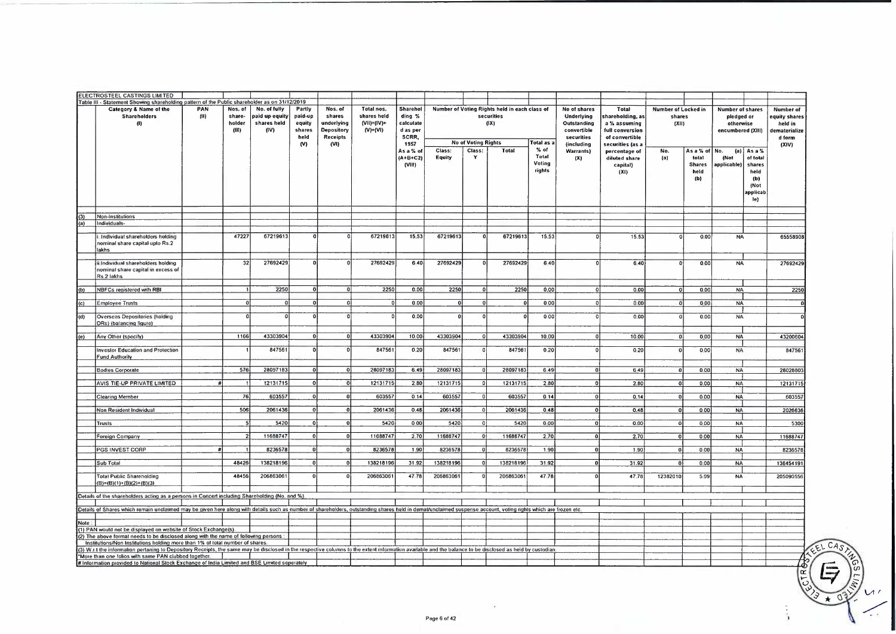|        | ELECTROSTEEL CASTINGS LIMITED                                                                                                                                                                                 |      |                 |                               |                  |                          |                                |                       |           |                                      |                                               |                    |                                        |                                   |                            |               |                                |                 |                          |
|--------|---------------------------------------------------------------------------------------------------------------------------------------------------------------------------------------------------------------|------|-----------------|-------------------------------|------------------|--------------------------|--------------------------------|-----------------------|-----------|--------------------------------------|-----------------------------------------------|--------------------|----------------------------------------|-----------------------------------|----------------------------|---------------|--------------------------------|-----------------|--------------------------|
|        | Table III - Statement Showing shareholding pattern of the Public shareholder as on 31/12/2019<br>Category & Name of the                                                                                       | PAN  | Nos. of         | No. of fully                  | Partly           | Nos. of                  | Total nos.                     | <b>Sharehol</b>       |           |                                      | Number of Voting Rights held in each class of |                    | No of shares                           | Total                             | <b>Number of Locked in</b> |               | <b>Number of shares</b>        |                 | <b>Number of</b>         |
|        | <b>Shareholders</b>                                                                                                                                                                                           | (II) | share-          | paid up equity<br>shares held | paid-up          | shares                   | shares held                    | ding %                |           |                                      | securities                                    |                    | Underlying                             | shareholding, as                  | shares                     |               | pledged or                     |                 | equity shares            |
|        | $\mathbf{u}$                                                                                                                                                                                                  |      | holder<br>(III) | (IV)                          | equity<br>shares | underlying<br>Depository | $(VII) = (IV) +$<br>$(V)+(VI)$ | calculate<br>d as per |           |                                      | (IX)                                          |                    | Outstanding<br>convertible             | a % assuming<br>full conversion   | (X  )                      |               | otherwise<br>encumbered (XIII) |                 | held in<br>dematerialize |
|        |                                                                                                                                                                                                               |      |                 |                               | held             | Receipts                 |                                | SCRR,                 |           |                                      |                                               |                    | securities                             | of convertible                    |                            |               |                                |                 | d form                   |
|        |                                                                                                                                                                                                               |      |                 |                               | (N)              | (VI)                     |                                | 1957<br>As a % of     | Class:    | <b>No of Voting Rights</b><br>Class: | Total                                         | Total as a<br>% of | <i>(including</i><br><b>Warrants</b> ) | securities (as a<br>percentage of | No.                        | As a % of     | No.                            | $(a)$ As a %    | (XIV)                    |
|        |                                                                                                                                                                                                               |      |                 |                               |                  |                          |                                | (A+B+C2)              | Equity    | Y                                    |                                               | Total              | (X)                                    | diluted share                     | (a)                        | total         | (Not                           | of total        |                          |
|        |                                                                                                                                                                                                               |      |                 |                               |                  |                          |                                | (VIII)                |           |                                      |                                               | Voting<br>rights   |                                        | capital)                          |                            | <b>Shares</b> | applicable)                    | shares          |                          |
|        |                                                                                                                                                                                                               |      |                 |                               |                  |                          |                                |                       |           |                                      |                                               |                    |                                        | (XI)                              |                            | held<br>(b)   |                                | held<br>(b)     |                          |
|        |                                                                                                                                                                                                               |      |                 |                               |                  |                          |                                |                       |           |                                      |                                               |                    |                                        |                                   |                            |               |                                | (Not            |                          |
|        |                                                                                                                                                                                                               |      |                 |                               |                  |                          |                                |                       |           |                                      |                                               |                    |                                        |                                   |                            |               |                                | applicab<br>le) |                          |
|        |                                                                                                                                                                                                               |      |                 |                               |                  |                          |                                |                       |           |                                      |                                               |                    |                                        |                                   |                            |               |                                |                 |                          |
| (3)    | Non-Institutions                                                                                                                                                                                              |      |                 |                               |                  |                          |                                |                       |           |                                      |                                               |                    |                                        |                                   |                            |               |                                |                 |                          |
| (a)    | Individuals-                                                                                                                                                                                                  |      |                 |                               |                  |                          |                                |                       |           |                                      |                                               |                    |                                        |                                   |                            |               |                                |                 |                          |
|        | Individual shareholders holding                                                                                                                                                                               |      | 47227           | 67219613                      |                  |                          | 67219613                       | 15.53                 | 67219613  | $\sqrt{ }$                           | 67219613                                      | 15.53              |                                        | 15.53                             | $\Omega$                   | 0.00          | <b>NA</b>                      |                 | 65558908                 |
|        | nominal share capital upto Rs.2                                                                                                                                                                               |      |                 |                               |                  |                          |                                |                       |           |                                      |                                               |                    |                                        |                                   |                            |               |                                |                 |                          |
|        | lakhs                                                                                                                                                                                                         |      |                 |                               |                  |                          |                                |                       |           |                                      |                                               |                    |                                        |                                   |                            |               |                                |                 |                          |
|        | ii Individual shareholders holding                                                                                                                                                                            |      | 32              | 27692429                      |                  |                          | 27692429                       | 640                   | 27692429  | $\sqrt{2}$                           | 27692429                                      | 640                | $\Omega$                               | 6 40                              | $\Omega$                   | 000           | <b>NA</b>                      |                 | 27692429                 |
|        | nominal share capital in excess of<br>Rs 2 lakhs                                                                                                                                                              |      |                 |                               |                  |                          |                                |                       |           |                                      |                                               |                    |                                        |                                   |                            |               |                                |                 |                          |
|        |                                                                                                                                                                                                               |      |                 |                               |                  |                          |                                |                       |           |                                      |                                               |                    |                                        |                                   |                            |               |                                |                 |                          |
| (b)    | NBFCs registered with RBI                                                                                                                                                                                     |      |                 | 2250                          |                  |                          | 2250                           | 0.00                  | 2250      |                                      | 2250                                          | 0.00               |                                        | 0.00                              | $\Omega$                   | 0.00          | <b>NA</b>                      |                 | 2250                     |
| (c)    | <b>Employee Trusts</b>                                                                                                                                                                                        |      |                 | $\Omega$                      |                  | $\Omega$                 | $\sqrt{2}$                     | 0.00                  | οl        |                                      |                                               | 000                |                                        | 0.00                              |                            | 000           | <b>NA</b>                      |                 |                          |
| (d)    | <b>Overseas Depositories (holding</b>                                                                                                                                                                         |      |                 | $\Omega$                      |                  | $\Omega$                 | $\Omega$                       | 0.00                  | $\Omega$  |                                      |                                               | 000                | $\Omega$                               | 0.00                              |                            | 0.00          | <b>NA</b>                      |                 |                          |
|        | DRs) (balancing figure)                                                                                                                                                                                       |      |                 |                               |                  |                          |                                |                       |           |                                      |                                               |                    |                                        |                                   |                            |               |                                |                 |                          |
|        |                                                                                                                                                                                                               |      | 1166            | 43303904                      | ō١               |                          | 43303904                       | 10.00                 | 43303904  | $\Omega$                             | 43303904                                      | 10.00              |                                        | 10.00                             | $\bf{0}$                   | 0.00          | <b>NA</b>                      |                 | 43200604                 |
| (e)    | Any Other (specify)                                                                                                                                                                                           |      |                 |                               |                  |                          |                                |                       |           |                                      |                                               |                    |                                        |                                   |                            |               |                                |                 |                          |
|        | <b>Investor Education and Protection</b>                                                                                                                                                                      |      |                 | 847561                        |                  |                          | 847561                         | 0.20                  | 847561    | $\Omega$                             | 847561                                        | 0.20               |                                        | 0,20                              | - 0                        | 000           | <b>NA</b>                      |                 | 847561                   |
|        | <b>Fund Authority</b>                                                                                                                                                                                         |      |                 |                               |                  |                          |                                |                       |           |                                      |                                               |                    |                                        |                                   |                            |               |                                |                 |                          |
|        | <b>Bodies Corporate</b>                                                                                                                                                                                       |      | 576             | 28097183                      | ΩI               | o                        | 28097183                       | 6.49                  | 28097183  | n                                    | 28097183                                      | 6.49               | ni                                     | 649                               |                            | 000           | <b>NA</b>                      |                 | 28028803                 |
|        | AVIS TIE-UP PRIVATE LIMITED                                                                                                                                                                                   |      |                 | 12131715                      | $\Omega$         | $\overline{0}$           | 12131715                       | 280                   | 12131715  | $\Omega$                             | 12131715                                      | 280                | <sub>0</sub>                           | 2.80                              | $\Omega$                   | 0.00          | <b>NA</b>                      |                 | 12131715                 |
|        |                                                                                                                                                                                                               |      |                 |                               |                  |                          |                                |                       |           |                                      |                                               |                    |                                        |                                   |                            |               |                                |                 |                          |
|        | <b>Clearing Member</b>                                                                                                                                                                                        |      | 76              | 603557                        | $\Omega$         | οl                       | 603557                         | 014                   | 603557    | $\Omega$                             | 603557                                        | 0.14               |                                        | 0.14                              | $\Omega$                   | 0.00          | <b>NA</b>                      |                 | 603557                   |
|        | Non Resident Individual                                                                                                                                                                                       |      | 506             | 2061436                       |                  |                          | 2061436                        | 0.48                  | 2061436   |                                      | 2061436                                       | 0,48               |                                        | 0.48                              |                            | 000           | <b>NA</b>                      |                 | 2026636                  |
|        | <b>Trusts</b>                                                                                                                                                                                                 |      |                 | 5420                          | $\Omega$         |                          | 5420                           | 000                   | 5420      | $\Omega$                             | 5420                                          | 000                | οl                                     | 0.00                              | $\Omega$                   | 0.00          | <b>NA</b>                      |                 | 5300                     |
|        |                                                                                                                                                                                                               |      |                 |                               | $\Omega$         |                          |                                |                       |           |                                      |                                               |                    |                                        |                                   |                            |               |                                |                 |                          |
|        | Foreign Company                                                                                                                                                                                               |      |                 | 11688747                      |                  |                          | 11688747                       | 2.70                  | 11688747  |                                      | 11688747                                      | 270                | ٥l                                     | 2.70                              | $\Omega$                   | 000           | <b>NA</b>                      |                 | 11688747                 |
|        | PGS INVEST CORP                                                                                                                                                                                               |      |                 | 8236578                       |                  |                          | 8236578                        | 1.90                  | 8236578   |                                      | 8236578                                       | 1.90               | n١                                     | 1.90                              | $\Omega$                   | 0.00          | <b>NA</b>                      |                 | 8236578                  |
|        | Sub Total                                                                                                                                                                                                     |      | 48426           | 138218196                     | $\mathbf{0}$     |                          | 138218196                      | 31.92                 | 138218196 |                                      | 138218196                                     | 31 92              | ΩI                                     | 31.92                             | $\Omega$                   | 0.00          | <b>NA</b>                      |                 | 136454191                |
|        |                                                                                                                                                                                                               |      |                 |                               |                  |                          |                                |                       |           |                                      |                                               |                    |                                        |                                   |                            |               |                                |                 |                          |
|        | <b>Total Public Shareholding</b><br>$(B)=(B)(1)+(B)(2)+(B)(3)$                                                                                                                                                |      | 48456           | 206863061                     |                  |                          | 206863061                      | 4778                  | 206863061 |                                      | 206863061                                     | 4778               | $\Omega$                               | 47.78                             | 12382010                   | 5.99          | <b>NA</b>                      |                 | 205090556                |
|        |                                                                                                                                                                                                               |      |                 |                               |                  |                          |                                |                       |           |                                      |                                               |                    |                                        |                                   |                            |               |                                |                 |                          |
|        | Details of the shareholders acting as a persons in Concert including Shareholding (No. and %)                                                                                                                 |      |                 |                               |                  |                          |                                |                       |           |                                      |                                               |                    |                                        |                                   |                            |               |                                |                 |                          |
|        | Details of Shares which remain unclaimed may be given here along with details such as number of shareholders, outstanding shares held in demat/unclaimed suspense account, voting rights which are frozen etc |      |                 |                               |                  |                          |                                |                       |           |                                      |                                               |                    |                                        |                                   |                            |               |                                |                 |                          |
| Note ! |                                                                                                                                                                                                               |      |                 |                               |                  |                          |                                |                       |           |                                      |                                               |                    |                                        |                                   |                            |               |                                |                 |                          |
|        | (1) PAN would not be displayed on website of Stock Exchange(s)                                                                                                                                                |      |                 |                               |                  |                          |                                |                       |           |                                      |                                               |                    |                                        |                                   |                            |               |                                |                 |                          |
|        | (2) The above formal needs to be disclosed along with the name of following persons :<br>Institutions/Non Institutions holding more than 1% of total number of shares                                         |      |                 |                               |                  |                          |                                |                       |           |                                      |                                               |                    |                                        |                                   |                            |               |                                |                 |                          |
|        | (3) W.r I the information perlaning to Depository Receipts, the same may be disclosed in the respective columns to the extent information available and the balance to be disclosed as held by custodian      |      |                 |                               |                  |                          |                                |                       |           |                                      |                                               |                    |                                        |                                   |                            |               |                                |                 |                          |
|        | *More than one folios with same PAN clubbed together                                                                                                                                                          |      |                 |                               |                  |                          |                                |                       |           |                                      |                                               |                    |                                        |                                   |                            |               |                                |                 |                          |
|        | # Information provided to National Stock Exchange of India Limited and BSE Limited seperately                                                                                                                 |      |                 |                               |                  |                          |                                |                       |           |                                      |                                               |                    |                                        |                                   |                            |               |                                |                 |                          |
|        |                                                                                                                                                                                                               |      |                 |                               |                  |                          |                                |                       |           |                                      |                                               |                    |                                        |                                   |                            |               |                                |                 | $\propto$                |
|        |                                                                                                                                                                                                               |      |                 |                               |                  |                          |                                |                       |           |                                      |                                               |                    |                                        |                                   |                            |               |                                |                 |                          |
|        |                                                                                                                                                                                                               |      |                 |                               |                  |                          |                                |                       |           |                                      |                                               |                    |                                        |                                   |                            |               |                                |                 |                          |
|        |                                                                                                                                                                                                               |      |                 |                               |                  |                          |                                |                       |           |                                      |                                               |                    |                                        |                                   |                            |               |                                |                 |                          |

 $\mathcal{U}$ Γ.,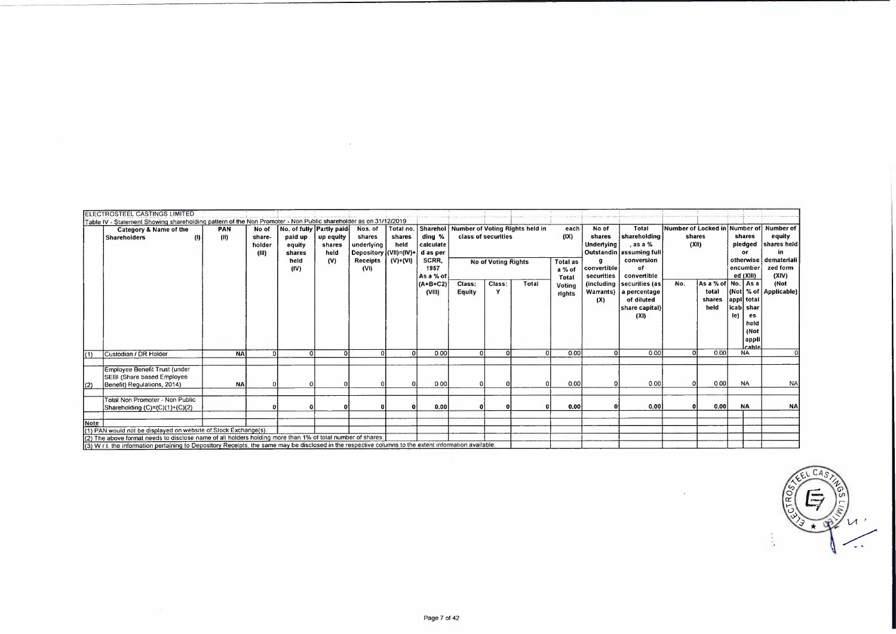|      | <b>ELECTROSTEEL CASTINGS LIMITED</b>                                                                                                                                                                                                                               |                   |                                    |                                                         |                             |                                                           |                |                                                       |                  |                     |                                 |                                    |                                      |                                                                                               |       |                                                 |                                |                                       |                                                                                   |
|------|--------------------------------------------------------------------------------------------------------------------------------------------------------------------------------------------------------------------------------------------------------------------|-------------------|------------------------------------|---------------------------------------------------------|-----------------------------|-----------------------------------------------------------|----------------|-------------------------------------------------------|------------------|---------------------|---------------------------------|------------------------------------|--------------------------------------|-----------------------------------------------------------------------------------------------|-------|-------------------------------------------------|--------------------------------|---------------------------------------|-----------------------------------------------------------------------------------|
|      | Table IV - Statement Showing shareholding pattern of the Non Promoter - Non Public shareholder as on 31/12/2019                                                                                                                                                    |                   |                                    |                                                         |                             |                                                           |                |                                                       |                  |                     |                                 |                                    |                                      |                                                                                               |       |                                                 |                                |                                       |                                                                                   |
|      | Category & Name of the<br><b>Shareholders</b>                                                                                                                                                                                                                      | <b>PAN</b><br>(H) | No of<br>share-<br>holder<br>(III) | No. of fully Partly paid<br>paid up<br>equity<br>shares | up equity<br>shares<br>held | Nos. of<br>shares<br>underlying<br>Depository (VII)=(IV)+ | shares<br>held | Total no. Sharehol<br>ding %<br>calculate<br>d as per |                  | class of securities | Number of Voting Rights held in | each<br>(1)                        | No of<br>shares<br><b>Underlying</b> | <b>Total</b><br>shareholding<br>. as a %<br>Outstandin assuming full                          | (X  ) | shares                                          | shares<br>or                   |                                       | Number of Locked in Number of Number of<br>equity<br>pledged   shares held<br>in. |
|      |                                                                                                                                                                                                                                                                    |                   |                                    | held<br>(IV)                                            | (V)                         | <b>Receipts</b><br>(VI)                                   | (V)+(VI)       | SCRR,<br>1957<br>As a % of                            |                  | No of Voting Rights |                                 | <b>Total as</b><br>a % of<br>Total | g<br>convertible<br>securities       | conversion<br>of<br>convertible                                                               |       |                                                 | encumber<br>ed (XIII)          |                                       | otherwise demateriali<br>zed form<br>(XIV)                                        |
|      |                                                                                                                                                                                                                                                                    |                   |                                    |                                                         |                             |                                                           |                | (A+B+C2)<br>(VIII)                                    | Class:<br>Equity | Class:<br>Y         | Total                           | Voting<br>rights                   | (X)                                  | (including securities (as<br>Warrants)   a percentage<br>of diluted<br>share capital)<br>(XI) | No.   | As a % of No.   As a<br>total<br>shares<br>held | appl total<br>icab shar<br>le) | es<br>held<br>(Not<br>appli<br>lcable | (Not<br>(Not % of Applicable)                                                     |
| (1)  | Custodian / DR Holder                                                                                                                                                                                                                                              | <b>NA</b>         | <sup>n</sup>                       |                                                         |                             |                                                           |                | 0.00                                                  |                  |                     |                                 | 000                                |                                      | 000                                                                                           |       | 0.00                                            | <b>NA</b>                      |                                       |                                                                                   |
| (2)  | Employee Benefit Trust (under<br>SEBI (Share based Employee<br>Benefit) Regulations, 2014)                                                                                                                                                                         | <b>NA</b>         |                                    |                                                         |                             |                                                           |                | 000                                                   |                  |                     |                                 | 0.00                               |                                      | 0.00                                                                                          |       | 000                                             | <b>NA</b>                      |                                       | <b>NA</b>                                                                         |
|      | Total Non Promoter - Non Public<br>Shareholding (C)=(C)(1)+(C)(2)                                                                                                                                                                                                  |                   |                                    |                                                         |                             |                                                           |                | 0,00                                                  |                  |                     |                                 | 0.00                               |                                      | 0.00                                                                                          |       | 0.00                                            | <b>NA</b>                      |                                       | <b>NA</b>                                                                         |
| Note | (1) PAN would not be displayed on website of Stock Exchange(s).                                                                                                                                                                                                    |                   |                                    |                                                         |                             |                                                           |                |                                                       |                  |                     |                                 |                                    |                                      |                                                                                               |       |                                                 |                                |                                       |                                                                                   |
|      | (2) The above formal needs to disclose name of all holders holding more than 1% of total number of shares<br>(3) W ct, the information pertaining to Depository Receipts, the same may be disclosed in the respective columns to the extent information available. |                   |                                    |                                                         |                             |                                                           |                |                                                       |                  |                     |                                 |                                    |                                      |                                                                                               |       |                                                 |                                |                                       |                                                                                   |

 $\sim$ 

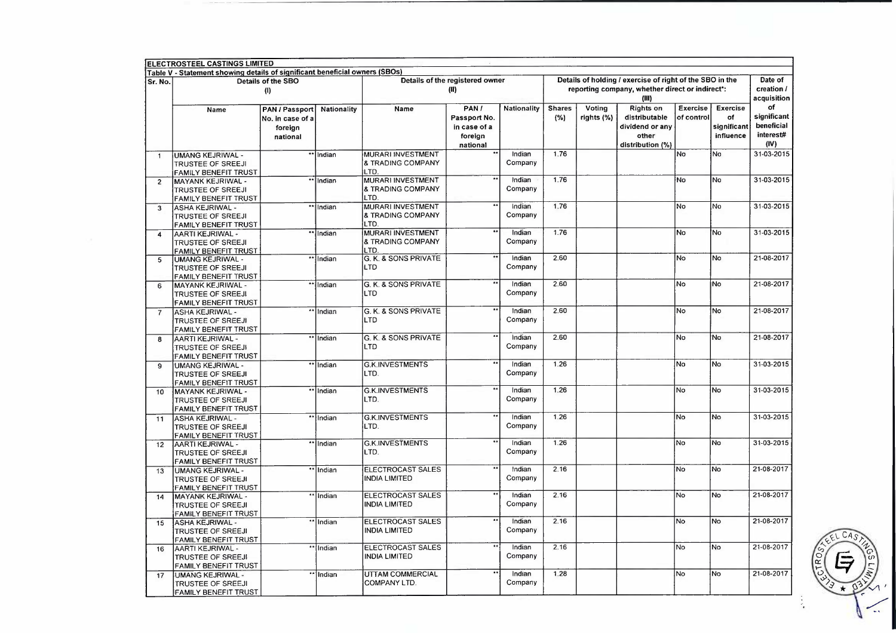|                         | Table V - Statement showing details of significant beneficial owners (SBOs)         |                                                                  |             |                                                           |                                                             |                    |                      |                      |                                                                                                                      |                        |                                                   |                                                      |
|-------------------------|-------------------------------------------------------------------------------------|------------------------------------------------------------------|-------------|-----------------------------------------------------------|-------------------------------------------------------------|--------------------|----------------------|----------------------|----------------------------------------------------------------------------------------------------------------------|------------------------|---------------------------------------------------|------------------------------------------------------|
| Sr. No.                 |                                                                                     | Details of the SBO<br>(1)                                        |             |                                                           | Details of the registered owner<br>(II)                     |                    |                      |                      | Details of holding / exercise of right of the SBO in the<br>reporting company, whether direct or indirect*:<br>(III) |                        |                                                   | Date of<br>creation /<br>acquisition                 |
|                         | Name                                                                                | <b>PAN / Passport</b><br>No. in case of a<br>foreign<br>national | Nationality | Name                                                      | PAN/<br>Passport No.<br>in case of a<br>foreign<br>national | <b>Nationality</b> | <b>Shares</b><br>(%) | Voting<br>rights (%) | Rights on<br>distributable<br>dividend or any<br>other<br>distribution (%)                                           | Exercise<br>of control | <b>Exercise</b><br>of<br>significant<br>influence | оf<br>significant<br>beneficial<br>interest#<br>(IV) |
| $\mathbf{1}$            | UMANG KEJRIWAL -<br><b>TRUSTEE OF SREEJI</b><br><b>FAMILY BENEFIT TRUST</b>         | $\bullet\,\bullet$                                               | Indian      | <b>MURARI INVESTMENT</b><br>& TRADING COMPANY<br>LTD.     |                                                             | Indian<br>Company  | 1.76                 |                      |                                                                                                                      | <b>No</b>              | No                                                | 31-03-2015                                           |
| $\overline{2}$          | MAYANK KEJRIWAL -<br><b>TRUSTEE OF SREEJI</b><br>FAMILY BENEFIT TRUST               |                                                                  | Indian      | MURARI INVESTMENT<br>& TRADING COMPANY<br>LTD.            | $\bullet$                                                   | Indian<br>Company  | 1.76                 |                      |                                                                                                                      | No                     | No                                                | 31-03-2015                                           |
| 3                       | <b>ASHA KEJRIWAL -</b><br><b>TRUSTEE OF SREEJI</b><br><b>FAMILY BENEFIT TRUST</b>   |                                                                  | ** Indian   | MURARI INVESTMENT<br><b>&amp; TRADING COMPANY</b><br>LTD. | ٠.                                                          | Indian<br>Company  | 1.76                 |                      |                                                                                                                      | No                     | No                                                | 31-03-2015                                           |
| $\overline{\mathbf{4}}$ | AARTI KEJRIWAL -<br><b>TRUSTEE OF SREEJ</b><br>FAMILY BENEFIT TRUST                 |                                                                  | ** Indian   | <b>MURARI INVESTMENT</b><br>& TRADING COMPANY<br>LTD.     |                                                             | Indian<br>Company  | 1.76                 |                      |                                                                                                                      | No                     | 'No                                               | 31-03-2015                                           |
| 5                       | <b>UMANG KEJRIWAL -</b><br><b>TRUSTEE OF SREEJI</b><br>FAMILY BENEFIT TRUST         |                                                                  | "Indian     | G. K. & SONS PRIVATE<br>LTD                               | $\bullet$                                                   | Indian<br>Company  | 2.60                 |                      |                                                                                                                      | No                     | No                                                | 21-08-2017                                           |
| 6                       | <b>MAYANK KEJRIWAL -</b><br><b>TRUSTEE OF SREEJI</b><br><b>FAMILY BENEFIT TRUST</b> |                                                                  | Indian      | G. K. & SONS PRIVATE<br>LTD                               | $\star$                                                     | Indian<br>Company  | 2.60                 |                      |                                                                                                                      | No                     | No                                                | 21-08-2017                                           |
| 7                       | <b>ASHA KEJRIWAL -</b><br>TRUSTEE OF SREEJI<br>FAMILY BENEFIT TRUST                 |                                                                  | ** Indian   | G. K. & SONS PRIVATE<br>LTD                               | $\overline{11}$                                             | Indian<br>Company  | 2.60                 |                      |                                                                                                                      | No                     | No                                                | 21-08-2017                                           |
| 8                       | AARTI KEJRIWAL -<br><b>TRUSTEE OF SREEJI</b><br>FAMILY BENEFIT TRUST                |                                                                  | ** Indian   | G. K. & SONS PRIVATE<br>LTD                               |                                                             | Indian<br>Company  | 2.60                 |                      |                                                                                                                      | No                     | No                                                | 21-08-2017                                           |
| 9                       | <b>UMANG KEJRIWAL -</b><br><b>TRUSTEE OF SREEJI</b><br>FAMILY BENEFIT TRUST         |                                                                  | ** Indian   | <b>G.K.INVESTMENTS</b><br>LTD.                            | $\ddot{\phantom{1}}$                                        | Indian<br>Company  | 1.26                 |                      |                                                                                                                      | No                     | No                                                | 31-03-2015                                           |
| 10                      | MAYANK KEJRIWAL -<br><b>TRUSTEE OF SREEJI</b><br>FAMILY BENEFIT TRUST               |                                                                  | ** Indian   | <b>G.K.INVESTMENTS</b><br>LTD.                            | $\star$                                                     | Indian<br>Company  | 1.26                 |                      |                                                                                                                      | No                     | No                                                | 31-03-2015                                           |
| 11                      | <b>ASHA KEJRIWAL -</b><br><b>TRUSTEE OF SREEJI</b><br>FAMILY BENEFIT TRUST          |                                                                  | ** Indian   | <b>G.K.INVESTMENTS</b><br>LTD.                            | $\ddot{\phantom{1}}$                                        | Indian<br>Company  | 1.26                 |                      |                                                                                                                      | No                     | No                                                | 31-03-2015                                           |
| 12                      | AARTI KEJRIWAL -<br><b>TRUSTEE OF SREEJI</b><br>FAMILY BENEFIT TRUST                |                                                                  | "Indian     | <b>G.K.INVESTMENTS</b><br>LTD.                            | ٠.                                                          | Indian<br>Company  | 1.26                 |                      |                                                                                                                      | No                     | No                                                | 31-03-2015                                           |
| 13                      | <b>UMANG KEJRIWAL -</b><br><b>TRUSTEE OF SREEJI</b><br>FAMILY BENEFIT TRUST         |                                                                  | ** Indian   | <b>ELECTROCAST SALES</b><br><b>INDIA LIMITED</b>          | $^{\circ}$                                                  | Indian<br>Company  | 2.16                 |                      |                                                                                                                      | No                     | No                                                | 21-08-2017                                           |
| 14                      | MAYANK KEJRIWAL -<br><b>TRUSTEE OF SREEJI</b><br><b>FAMILY BENEFIT TRUST</b>        |                                                                  | ** Indian   | ELECTROCAST SALES<br><b>INDIA LIMITED</b>                 | $^{\circ}$                                                  | Indian<br>Company  | 2.16                 |                      |                                                                                                                      | No                     | No                                                | 21-08-2017                                           |
| 15                      | <b>ASHA KEJRIWAL -</b><br><b>TRUSTEE OF SREEJI</b><br>FAMILY BENEFIT TRUST          |                                                                  | ** Indian   | ELECTROCAST SALES<br><b>INDIA LIMITED</b>                 | $\bullet\,\bullet$                                          | Indian<br>Company  | 2.16                 |                      |                                                                                                                      | No                     | No                                                | 21-08-2017                                           |
| 16                      | AARTI KEJRIWAL -<br>TRUSTEE OF SREEJI<br>FAMILY BENEFIT TRUST                       |                                                                  | ** Indian   | ELECTROCAST SALES<br><b>INDIA LIMITED</b>                 | $\overline{\bullet}$                                        | Indian<br>Company  | 2.16                 |                      |                                                                                                                      | No                     | No                                                | 21-08-2017                                           |
| 17                      | <b>UMANG KEJRIWAL -</b><br><b>TRUSTEE OF SREEJI</b><br><b>FAMILY BENEFIT TRUST</b>  |                                                                  | ** Indian   | UTTAM COMMERCIAL<br>COMPANY LTD.                          |                                                             | Indian<br>Company  | 1.28                 |                      |                                                                                                                      | No                     | No                                                | 21-08-2017                                           |

后 Q.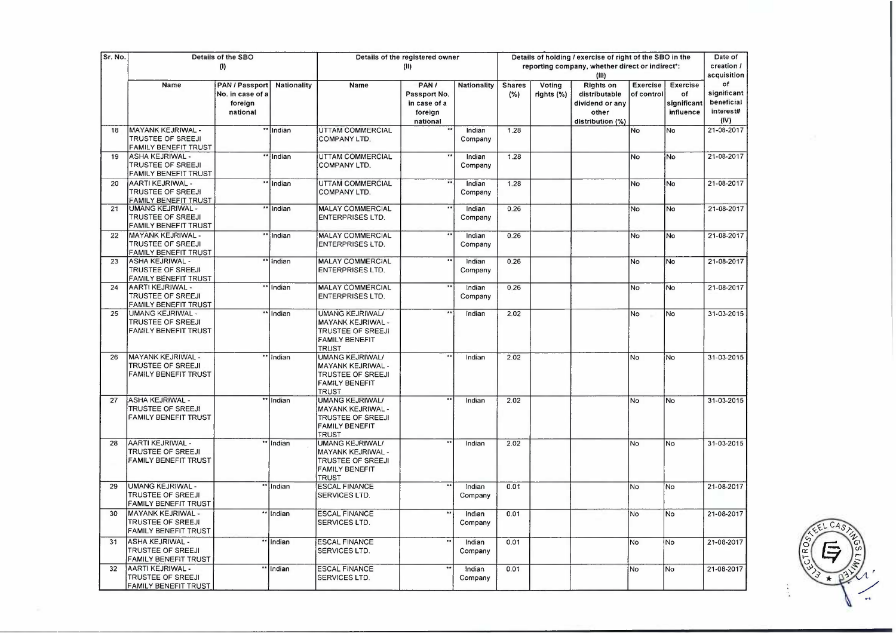| Sr. No. |                                                                              | Details of the SBO<br>(1)                                 |             |                                                                                                           | Details of the registered owner<br>(II)                      |                   |                      |                      | Details of holding / exercise of right of the SBO in the<br>reporting company, whether direct or indirect*:<br>(III) |                        |                                            | Date of<br>creation /<br>acquisition                 |
|---------|------------------------------------------------------------------------------|-----------------------------------------------------------|-------------|-----------------------------------------------------------------------------------------------------------|--------------------------------------------------------------|-------------------|----------------------|----------------------|----------------------------------------------------------------------------------------------------------------------|------------------------|--------------------------------------------|------------------------------------------------------|
|         | Name                                                                         | PAN / Passport<br>No. in case of a<br>foreign<br>national | Nationality | Name                                                                                                      | PAN /<br>Passport No.<br>in case of a<br>foreign<br>national | Nationality       | <b>Shares</b><br>(%) | Voting<br>rights (%) | <b>Rights on</b><br>distributable<br>dividend or any<br>other<br>distribution (%)                                    | Exercise<br>of control | Exercise<br>оf<br>significant<br>influence | оf<br>significant<br>beneficial<br>interest#<br>(IV) |
| 18      | MAYANK KEJRIWAL -<br><b>TRUSTEE OF SREEJI</b><br><b>FAMILY BENEFIT TRUST</b> |                                                           | ** Indian   | UTTAM COMMERCIAL<br><b>COMPANY LTD.</b>                                                                   | $\bullet\bullet$                                             | Indian<br>Company | 1.28                 |                      |                                                                                                                      | No.                    | No                                         | 21-08-2017                                           |
| 19      | ASHA KEJRIWAL -<br><b>TRUSTEE OF SREEJI</b><br><b>FAMILY BENEFIT TRUST</b>   |                                                           | ** Indian   | UTTAM COMMERCIAL<br>COMPANY LTD.                                                                          | $\star\star$                                                 | Indian<br>Company | 1.28                 |                      |                                                                                                                      | No                     | İNo                                        | 21-08-2017                                           |
| 20      | AARTI KEJRIWAL -<br>TRUSTEE OF SREEJI<br>FAMILY BENEFIT TRUST                |                                                           | ** Indian   | UTTAM COMMERCIAL<br>COMPANY LTD.                                                                          |                                                              | Indian<br>Company | 1.28                 |                      |                                                                                                                      | No                     | No                                         | 21-08-2017                                           |
| 21      | UMANG KEJRIWAL -<br>TRUSTEE OF SREEJI<br><b>FAMILY BENEFIT TRUST</b>         |                                                           | ** Indian   | <b>MALAY COMMERCIAL</b><br><b>ENTERPRISES LTD.</b>                                                        |                                                              | Indian<br>Company | 0.26                 |                      |                                                                                                                      | No                     | No                                         | 21-08-2017                                           |
| 22      | MAYANK KEJRIWAL -<br><b>TRUSTEE OF SREEJI</b><br>FAMILY BENEFIT TRUST        |                                                           | ** Indian   | <b>MALAY COMMERCIAL</b><br><b>ENTERPRISES LTD.</b>                                                        | $\bullet$                                                    | Indian<br>Company | 0.26                 |                      |                                                                                                                      | <b>No</b>              | No                                         | 21-08-2017                                           |
| 23      | ASHA KEJRIWAL -<br>TRUSTEE OF SREEJI<br><b>FAMILY BENEFIT TRUST</b>          |                                                           | ** Indian   | <b>MALAY COMMERCIAL</b><br><b>ENTERPRISES LTD.</b>                                                        | т.                                                           | Indian<br>Company | 0.26                 |                      |                                                                                                                      | No                     | lNo                                        | 21-08-2017                                           |
| 24      | AARTI KEJRIWAL -<br>TRUSTEE OF SREEJI<br>FAMILY BENEFIT TRUST                |                                                           | ** Indian   | <b>MALAY COMMERCIAL</b><br><b>ENTERPRISES LTD.</b>                                                        | $\star\star$                                                 | Indian<br>Company | 026                  |                      |                                                                                                                      | No                     | No                                         | 21-08-2017                                           |
| 25      | UMANG KEJRIWAL -<br><b>TRUSTEE OF SREEJI</b><br><b>FAMILY BENEFIT TRUST</b>  |                                                           | ** Indian   | <b>UMANG KEJRIWAL/</b><br>MAYANK KEJRIWAL -<br>TRUSTEE OF SREEJI<br><b>FAMILY BENEFIT</b><br><b>TRUST</b> |                                                              | Indian            | 2.02                 |                      |                                                                                                                      | No                     | No                                         | 31-03-2015                                           |
| 26      | MAYANK KEJRIWAL -<br>TRUSTEE OF SREEJI<br>FAMILY BENEFIT TRUST               |                                                           | ** Indian   | UMANG KEJRIWAL/<br>MAYANK KEJRIWAL -<br>TRUSTEE OF SREEJI<br><b>FAMILY BENEFIT</b><br><b>TRUST</b>        |                                                              | Indian            | 2.02                 |                      |                                                                                                                      | No                     | No                                         | 31-03-2015                                           |
| 27      | ASHA KEJRIWAL -<br>TRUSTEE OF SREEJI<br><b>FAMILY BENEFIT TRUST</b>          |                                                           | ** Indian   | UMANG KEJRIWAL/<br>MAYANK KEJRIWAL -<br>TRUSTEE OF SREEJI<br>FAMILY BENEFIT<br><b>TRUST</b>               |                                                              | Indian            | 2.02                 |                      |                                                                                                                      | <b>No</b>              | <b>No</b>                                  | 31-03-2015                                           |
| 28      | AARTI KEJRIWAL -<br>TRUSTEE OF SREEJI<br>FAMILY BENEFIT TRUST                |                                                           | ** Indian   | UMANG KEJRIWAL/<br><b>MAYANK KEJRIWAL -</b><br>TRUSTEE OF SREEJI<br><b>FAMILY BENEFIT</b><br><b>TRUST</b> | $\ddot{\phantom{a}}$                                         | Indian            | 2.02                 |                      |                                                                                                                      | No                     | No                                         | 31-03-2015                                           |
| 29      | <b>UMANG KEJRIWAL -</b><br>TRUSTEE OF SREEJI<br>FAMILY BENEFIT TRUST         |                                                           | ** Indian   | <b>ESCAL FINANCE</b><br>SERVICES LTD.                                                                     | $**$                                                         | Indian<br>Company | 0.01                 |                      |                                                                                                                      | No                     | No                                         | 21-08-2017                                           |
| 30      | MAYANK KEJRIWAL -<br>TRUSTEE OF SREEJI<br>FAMILY BENEFIT TRUST               |                                                           | ** Indian   | <b>ESCAL FINANCE</b><br>SERVICES LTD.                                                                     | **                                                           | Indian<br>Company | 0.01                 |                      |                                                                                                                      | No                     | <b>No</b>                                  | 21-08-2017                                           |
| 31      | ASHA KEJRIWAL -<br><b>TRUSTEE OF SREEJI</b><br><b>FAMILY BENEFIT TRUST</b>   |                                                           | "Indian     | <b>ESCAL FINANCE</b><br>SERVICES LTD.                                                                     |                                                              | Indian<br>Company | 0.01                 |                      |                                                                                                                      | No                     | No.                                        | 21-08-2017                                           |
| 32      | AARTI KEJRIWAL -<br>TRUSTEE OF SREEJI<br>FAMILY BENEFIT TRUST                |                                                           | ** Indian   | <b>ESCAL FINANCE</b><br>SERVICES LTD.                                                                     | $*$                                                          | Indian<br>Company | 0.01                 |                      |                                                                                                                      | No                     | No                                         | 21-08-2017                                           |